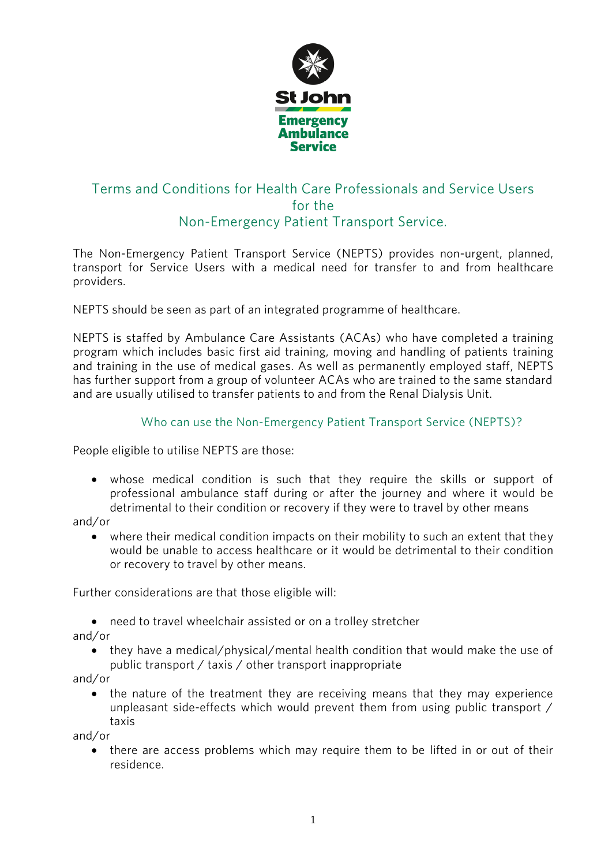

### Terms and Conditions for Health Care Professionals and Service Users Terms and Conditions for the Conditions and Service Users and Service Users and Service Users and Service Users Non-Emergency Patient Transport Service. Non-Emergency Patient Transport Service.

The Non-Emergency Patient Transport Service (NEPTS) provides non-urgent, planned, transport for Service Users with a medical need for transfer to and from healthcare  $t_{\rm n}$  transferred for Service Users with a medical need for transferred for the  $t_{\rm n}$ providers.

NEPTS should be seen as part of an integrated programme of healthcare.

NEPTS is staffed by Ambulance Care Assistants (ACAs) who have completed a training program which includes basic first aid training, moving and handling of patients training and training in the use of medical gases. As well as permanently employed staff, NEPTS has further support from a group of volunteer ACAs who are trained to the same standard and are usually utilised to transfer patients to and from the Renal Dialysis Unit. and are usually utilised to transfer patients to and from the Renal Dialysis Unit.

# $W_{\text{max}}$  can use the Non-Emergency Patient Transport Service (NEPTS)?

People eligible to utilise NEPTS are those:

• whose medical condition is such that they require the skills or support of professional ambulance staff during or after the journey and where it would be detrimental to their condition or recovery if they were to travel by other means detrimental to their condition or recovery if they were to travel by other means

• where their medical condition impacts on their mobility to such an extent that they would be unable to access healthcare or it would be detrimental to their condition would be unable to access healthcare or it would be detrimental to their condition or recovery to travel by other means. or recovery to travel by other means.

Further considerations are that those eligible will:

• need to travel wheelchair assisted or on a trolley stretcher and/or

• they have a medical/physical/mental health condition that would make the use of nublic transport / taxis / other transport inappropriate public transport / taxis / other transport inappropriate<br>and/or

• the nature of the treatment they are receiving means that they may experience<br>4. unpleasant side-effects which would prevent them from using public transport unpleasant side-effects which would prevent them from using public transport / taxis

• there are access problems which may require them to be lifted in or out of their<br>residence residence.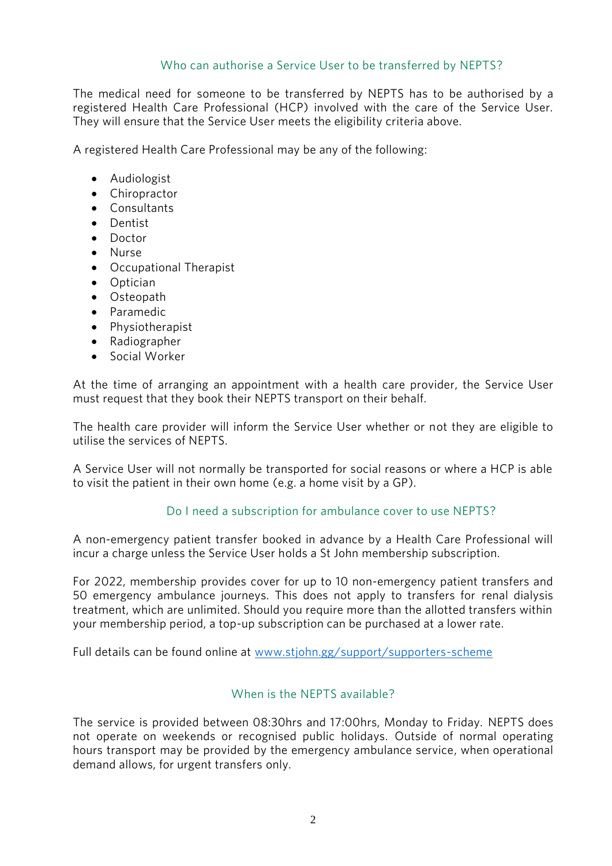#### Who can authorise a Service User to be transferred by NEPTS?  $W_{\rm eff}$  and  $W_{\rm eff}$  are transferred by NEPTS?

The medical need for someone to be transferred by NEPTS has to be authorised by a registered Health Care Professional (HCP) involved with the care of the Service User. They will ensure that the Service User meets the eligibility criteria above. They will ensure that the Service User meets the eligibility criteria above.

 $\mathcal{A}$  registered Health Care Professional may be any of the following:

- Audiologist
- Chiropractor
- Consultants<br>• Dentist
- Dentist
- Doctor
- Nurse
- Occupational Therapist
- Optician
- Osteopath
- Paramedic
- Physiotherapist
- Radiographer
- Social Worker

At the time of arranging an appointment with a health care provider, the Service User must request that they book their NEPTS transport on their behalf. must request that they book their NEPTS transport on their behalf.

The health care provider will inform the Service User whether or not they are eligible to

to visit the patient in their own home (e  $\sigma$  a home visit by a GP) to visit the patient in their own home (e.g. a home visit by a GP).

# Do I need a subscription for ambulance cover to use NEPTS?

A non-emergency patient transfer booked in advance by a Health Care Professional will incur a charge unless the Service User holds a St John membership subscription. incur a charge unless the Service User holds a St John membership subscription.

For 2022, membership provides cover for up to 10 non-emergency patient transfers and<br>50 emergency ambulance journeys. This does not apply to transfers for renal dialysis treatment, which are unlimited. Should you require more than the allotted transfers within your membership period, a top-up subscription can be purchased at a lower rate. your membership period, a top-up subscription can be purchased at a lower rate.

Full details can be found online at [www.stjohn.gg/support/supporters-scheme](http://www.stjohn.gg/support/supporters-scheme)

### When is the NEPTS available?

The service is provided between 08:30hrs and 17:00hrs, Monday to Friday. NEPTS does hours transport may be provided by the emergency ambulance service, when operational demand allows, for urgent transfers only. demand allows, for urgent transfers only.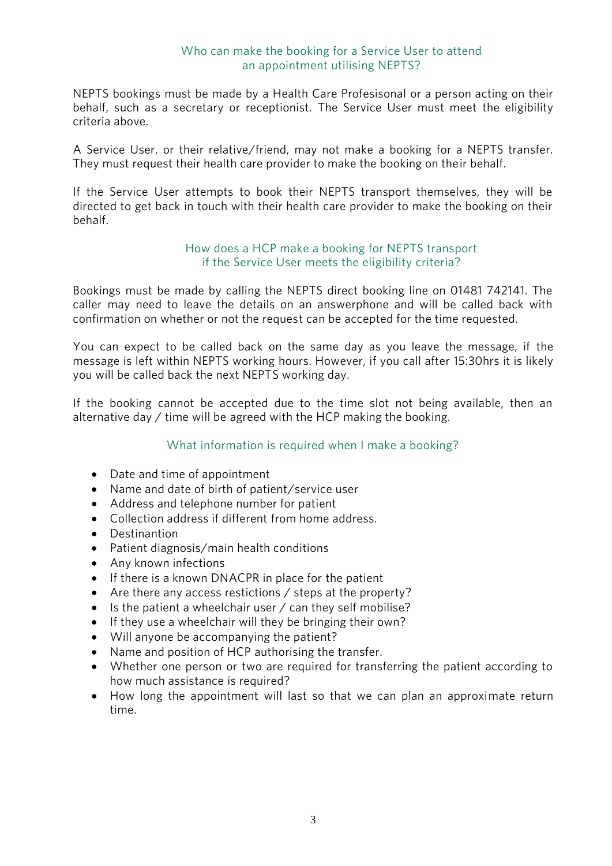#### Who can make the booking for a Service User to attend an appointment utilising NEPTS? an approximation of the NEPTS?

NEPTS bookings must be made by a Health Care Profesisonal or a person acting on their<br>behalf, such as a secretary or receptionist. The Service User must meet the eligibility criteria above.

A Service User, or their relative/friend, may not make a booking for a NEPTS transfer.<br>They must request their health care provider to make the booking on their behalf. They must request their health care provider to make the booking on their behalf.

If the Service User attempts to book their NEPTS transport themselves, they will be directed to get back in touch with their health care provider to make the booking on their  $\epsilon$  directed to get back in touch with the booking on the booking on the booking on the booking on the booking on the booking on the booking on the booking on the booking on the booking on the booking on the booking on t

#### How does a HCP make a booking for NEPTS transport if the Service User meets the eligibility criteria? if the Service User meets the eligibility criteria  $\mathcal{L}$

Bookings must be made by calling the NEPTS direct booking line on 01481 742141. The confirmation on whether or not the request can be accepted for the time requested confirmation on whether or not the request can be accepted for the time requested.

You can expect to be called back on the same day as you leave the message, if the message is left within NEPTS working hours. However, if you call after 15:30 hrs it is likely vou will be called back the next NEPTS working day. However, it is likely in the call and  $\mathcal{I}$ you will be called back the next NEPTS working day.

If the booking cannot be accepted due to the time slot not being available, then an alternative day  $\ell$  time will be agreed with the HCP making the booking. alternative day / time will be agreed with the HCP making the booking.

# $W_{\text{max}}$  is required when I make a booking?

- Date and time of appointment
- Name and date of birth of patient/service user
- Address and telephone number for patient
- Collection address if different from home address.
- Destinantion
- Patient diagnosis/main health conditions
- Any known infections
- If there is a known DNACPR in place for the patient
- Are there any access restictions / steps at the property?
- Is the patient a wheelchair user / can they self mobilise?
- If they use a wheelchair will they be bringing their own?
- Will anyone be accompanying the patient?
- Name and position of HCP authorising the transfer.
- Whether one person or two are required for transferring the patient according to how much assistance is required?
- How long the appointment will last so that we can plan an approximate return time time.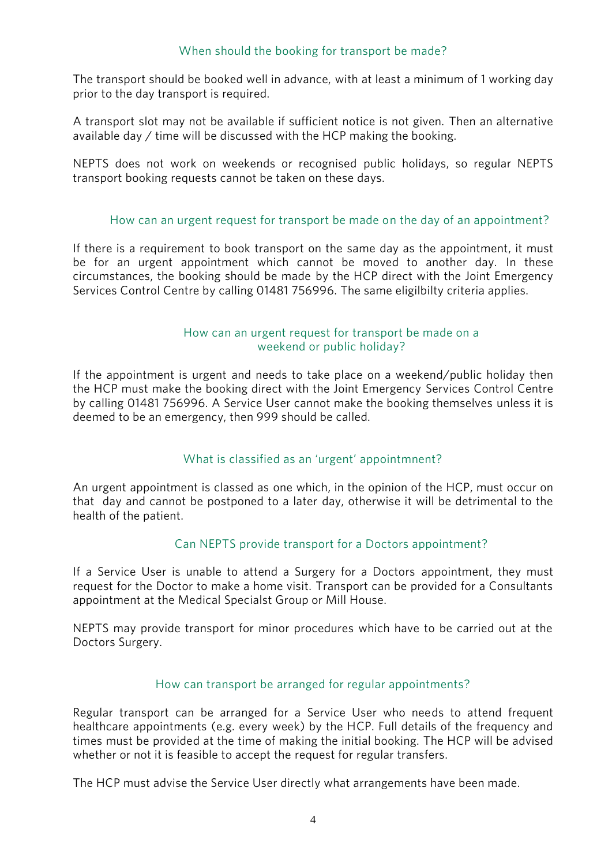#### When should the booking for transport be made?  $W_{\rm eff}$  should the booking for transport be made  $\sigma$

The transport should be booked well in advance, with at least a minimum of 1 working day prior to the day transport is required. prior to the day transport is required.

A transport slot may not be available if sufficient notice is not given. Then an alternative available day  $\ell$  time will be discussed with the HCP making the booking. available day / time will be discussed with the HCP making the booking.

NEPTS does not work on weekends or recognised public holidays, so regular NEPTS transport booking requests cannot be taken on these days. transport booking requests cannot be taken on these days.

# How can an urgent request for transport be made on the day of an appointment?

If there is a requirement to book transport on the same day as the appointment, it must<br>be for an urgent appointment which cannot be moved to another day. In these circumstances, the booking should be made by the HCP direct with the Joint Emergency Services Control Centre by calling 01481 756996. The same eligilbilty criteria applies. Services Control Centre by calling 01481 756996. The same eligilbilty criteria applies.

## How can an urgent request for transport be made on a weekend or public holiday?

If the appointment is urgent and needs to take place on a weekend/public holiday then<br>the HCP must make the booking direct with the Joint Emergency Services Control Centre by calling 01481 756996. A Service User cannot make the booking themselves unless it is  $\sigma$  called 10  $\sigma$  called make the bookstand make the booking the booking dependence of  $\sigma$ deemed to be an emergency, then 999 should be called.

# $\mathcal{C}$  is classified as an  $\mathcal{C}$  is classified as an  $\mathcal{C}$

An urgent appointment is classed as one which, in the opinion of the HCP, must occur on that day and cannot be postponed to a later day, otherwise it will be detrimental to the health of the patient. health of the patient.

### Can NEPTS provide transport for a Doctors appointment?

If a Service User is unable to attend a Surgery for a Doctors appointment, they must request for the Doctor to make a home visit. Transport can be provided for a Consultants appointment at the Medical Specialst Group or Mill House. approximately the Medical Specialst Group or  $\mathbb{R}$ 

NEPTS may provide transport for minor procedures which have to be carried out at the Doctors Surgery.  $\overline{\phantom{a}}$ 

# How can transport be arranged for regular appointments?

Regular transport can be arranged for a Service User who needs to attend frequent healthcare appointments (e.g. every week) by the HCP. Full details of the frequency and times must be provided at the time of making the initial booking. The HCP will be advised whether or not it is feasible to accent the requiest for regular transfers. whether or not it is feating the request for regular transfers.

The HCP must advise the Service User directly what arrangements have been made.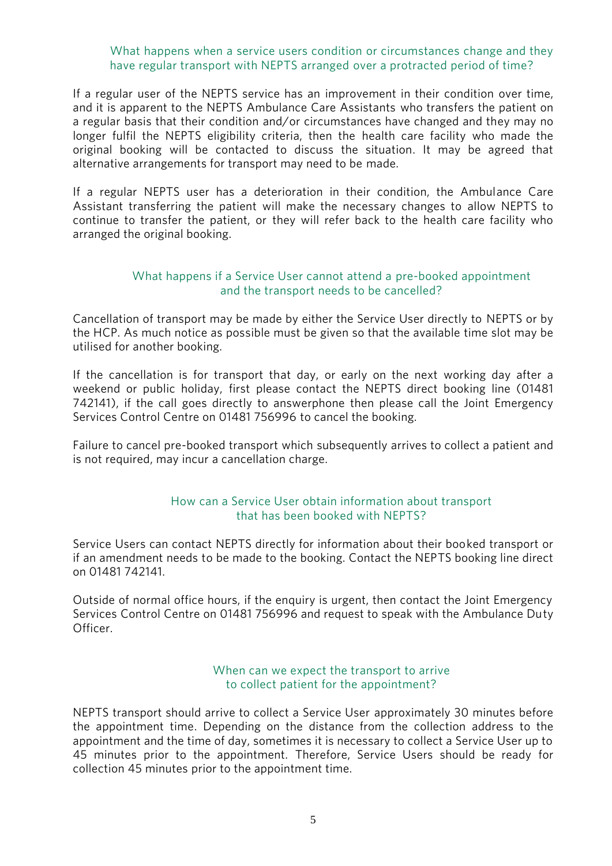#### What happens when a service users condition or circumstances change and they have regular transport with NEPTS arranged over a protracted period of time? have regular transport with NEPTS arranged over a protection  $\mathcal{L}_\text{max}$

If a regular user of the NEPTS service has an improvement in their condition over time, and it is apparent to the NEPTS Ambulance Care Assistants who transfers the patient on a regular basis that their condition and/or circumstances have changed and they may no longer fulfil the NEPTS eligibility criteria, then the health care facility who made the original booking will be contacted to discuss the situation. It may be agreed that alternative arrangements for transport may need to be made. alternative arrangements for transport may need to be made.

If a regular NEPTS user has a deterioration in their condition, the Ambulance Care<br>Assistant transferring the patient will make the necessary changes to allow NEPTS to continue to transfer the patient, or they will refer back to the health care facility who arranged the original booking. arranged the original booking.

#### What happens if a Service User cannot attend a pre-booked appointment and the transport needs to be cancelled? and the transport needs to be cancelled?

Cancellation of transport may be made by either the Service User directly to NEPTS or by the HCP. As much notice as possible must be given so that the available time slot may be utilised for another booking. utilised for another booking.

If the cancellation is for transport that day, or early on the next working day after a weekend or public holiday, first please contact the NEPTS direct booking line (01481) 742141), if the call goes directly to answerphone then please call the Joint Emergency  $\frac{1}{2}$ Services Control Centre on 01481 756996 to cancel the booking.

Failure to cancel pre-booked transport which subsequently arrives to collect a patient and is not required, may incur a cancellation charge. is not required, may incur a cancellation charge.

### How can a Service User obtain information about transport that has been booked with NEPTS?

Service Users can contact NEPTS directly for information about their booked transport or if an amendment needs to be made to the booking. Contact the NEPTS booking line direct on 01481 742141. on 01481 742141.

Outside of normal office hours, if the enquiry is urgent, then contact the Joint Emergency<br>Services Control Centre on 01481 756996 and request to speak with the Ambulance Duty Services Control Centre on 01481 756996 and request to speak with the Ambulance Duty to speak with the Ambulance Duty of the Ambulance Duty of the Ambulance Duty of the Ambulance Duty of the Ambulance Duty of the Ambulance Officer.

## to collect patient for the appointment? to collect patient for the appointment?

NEPTS transport should arrive to collect a Service User approximately 30 minutes before the appointment time. Depending on the distance from the collection address to the appointment and the time of day, sometimes it is necessary to collect a Service User up to 45 minutes prior to the appointment. Therefore, Service Users should be ready for collection 45 minutes prior to the appointment time. collection 45 minutes prior time. The approximation time time  $\mathcal{L}$